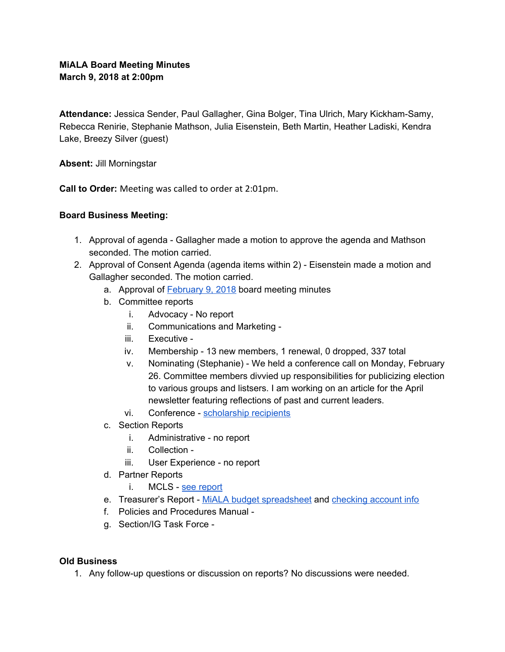## **MiALA Board Meeting Minutes March 9, 2018 at 2:00pm**

**Attendance:** Jessica Sender, Paul Gallagher, Gina Bolger, Tina Ulrich, Mary Kickham-Samy, Rebecca Renirie, Stephanie Mathson, Julia Eisenstein, Beth Martin, Heather Ladiski, Kendra Lake, Breezy Silver (guest)

**Absent:** Jill Morningstar

**Call to Order:** Meeting was called to order at 2:01pm.

## **Board Business Meeting:**

- 1. Approval of agenda Gallagher made a motion to approve the agenda and Mathson seconded. The motion carried.
- 2. Approval of Consent Agenda (agenda items within 2) Eisenstein made a motion and Gallagher seconded. The motion carried.
	- a. Approval of **[February](https://docs.google.com/document/d/1w9qts73ahHNxqrGxcQdMtsUULyjG0Q99-Ftl3DN0HE8/edit) 9, 2018** board meeting minutes
	- b. Committee reports
		- i. Advocacy No report
		- ii. Communications and Marketing -
		- iii. Executive -
		- iv. Membership 13 new members, 1 renewal, 0 dropped, 337 total
		- v. Nominating (Stephanie) We held a conference call on Monday, February 26. Committee members divvied up responsibilities for publicizing election to various groups and listsers. I am working on an article for the April newsletter featuring reflections of past and current leaders.
		- vi. Conference [scholarship](#page-2-0) recipients
	- c. Section Reports
		- i. Administrative no report
		- ii. Collection -
		- iii. User Experience no report
	- d. Partner Reports
		- i. MCLS see [report](#page-3-0)
	- e. Treasurer's Report MiALA budget [spreadsheet](https://docs.google.com/spreadsheets/d/1x-nm-MwrUy-DSseO3-iAPhyFg72Gsz8R5nFcxyEhCS0/edit?usp=sharing) and [checking](https://docs.google.com/document/d/1aGSDgrguYchWO3Oxah53iUjv4HSmpuRnYM8vMJPpS5M/edit?usp=sharing) account info
	- f. Policies and Procedures Manual -
	- g. Section/IG Task Force -

## **Old Business**

1. Any follow-up questions or discussion on reports? No discussions were needed.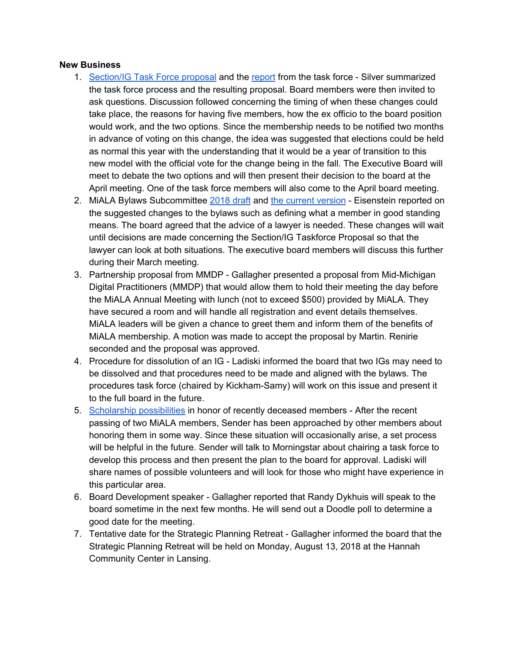#### **New Business**

- 1. [Section/IG](https://docs.google.com/document/d/1I5zgqDHau0dreP_Uyfb1eQoslmkMd0NMDkBtBKXB9As/edit) Task Force proposal and the [report](https://docs.google.com/document/d/1AU0OPW_1akaqomOvNICUOE1Mb3VBFYohg-fRYnRa3TU/edit) from the task force Silver summarized the task force process and the resulting proposal. Board members were then invited to ask questions. Discussion followed concerning the timing of when these changes could take place, the reasons for having five members, how the ex officio to the board position would work, and the two options. Since the membership needs to be notified two months in advance of voting on this change, the idea was suggested that elections could be held as normal this year with the understanding that it would be a year of transition to this new model with the official vote for the change being in the fall. The Executive Board will meet to debate the two options and will then present their decision to the board at the April meeting. One of the task force members will also come to the April board meeting.
- 2. MiALA Bylaws Subcommittee [2018](https://docs.google.com/document/d/1ur6F8hnRiuyc5RKaZgwHt-w7ZvQdHG2apLYdolYDWEw/edit#heading=h.gjdgxs) draft and the current [version](https://drive.google.com/drive/folders/18VzDAEcZviDt6vXlbr3tVwBQ8l960XJx) Eisenstein reported on the suggested changes to the bylaws such as defining what a member in good standing means. The board agreed that the advice of a lawyer is needed. These changes will wait until decisions are made concerning the Section/IG Taskforce Proposal so that the lawyer can look at both situations. The executive board members will discuss this further during their March meeting.
- 3. Partnership proposal from MMDP Gallagher presented a proposal from Mid-Michigan Digital Practitioners (MMDP) that would allow them to hold their meeting the day before the MiALA Annual Meeting with lunch (not to exceed \$500) provided by MiALA. They have secured a room and will handle all registration and event details themselves. MiALA leaders will be given a chance to greet them and inform them of the benefits of MiALA membership. A motion was made to accept the proposal by Martin. Renirie seconded and the proposal was approved.
- 4. Procedure for dissolution of an IG Ladiski informed the board that two IGs may need to be dissolved and that procedures need to be made and aligned with the bylaws. The procedures task force (chaired by Kickham-Samy) will work on this issue and present it to the full board in the future.
- 5. [Scholarship](#page-7-0) possibilities in honor of recently deceased members After the recent passing of two MiALA members, Sender has been approached by other members about honoring them in some way. Since these situation will occasionally arise, a set process will be helpful in the future. Sender will talk to Morningstar about chairing a task force to develop this process and then present the plan to the board for approval. Ladiski will share names of possible volunteers and will look for those who might have experience in this particular area.
- 6. Board Development speaker Gallagher reported that Randy Dykhuis will speak to the board sometime in the next few months. He will send out a Doodle poll to determine a good date for the meeting.
- 7. Tentative date for the Strategic Planning Retreat Gallagher informed the board that the Strategic Planning Retreat will be held on Monday, August 13, 2018 at the Hannah Community Center in Lansing.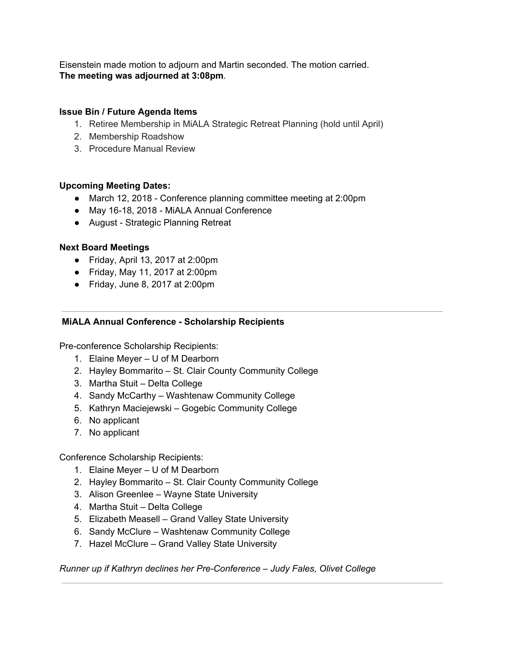Eisenstein made motion to adjourn and Martin seconded. The motion carried. **The meeting was adjourned at 3:08pm**.

## **Issue Bin / Future Agenda Items**

- 1. Retiree Membership in MiALA Strategic Retreat Planning (hold until April)
- 2. Membership Roadshow
- 3. Procedure Manual Review

## **Upcoming Meeting Dates:**

- March 12, 2018 Conference planning committee meeting at 2:00pm
- May 16-18, 2018 MiALA Annual Conference
- August Strategic Planning Retreat

## **Next Board Meetings**

- Friday, April 13, 2017 at 2:00pm
- Friday, May 11, 2017 at 2:00pm
- $\bullet$  Friday, June 8, 2017 at 2:00pm

## <span id="page-2-0"></span>**MiALA Annual Conference - Scholarship Recipients**

Pre-conference Scholarship Recipients:

- 1. Elaine Meyer U of M Dearborn
- 2. Hayley Bommarito St. Clair County Community College
- 3. Martha Stuit Delta College
- 4. Sandy McCarthy Washtenaw Community College
- 5. Kathryn Maciejewski Gogebic Community College
- 6. No applicant
- 7. No applicant

Conference Scholarship Recipients:

- 1. Elaine Meyer U of M Dearborn
- 2. Hayley Bommarito St. Clair County Community College
- 3. Alison Greenlee Wayne State University
- 4. Martha Stuit Delta College
- 5. Elizabeth Measell Grand Valley State University
- 6. Sandy McClure Washtenaw Community College
- 7. Hazel McClure Grand Valley State University

*Runner up if Kathryn declines her Pre-Conference – Judy Fales, Olivet College*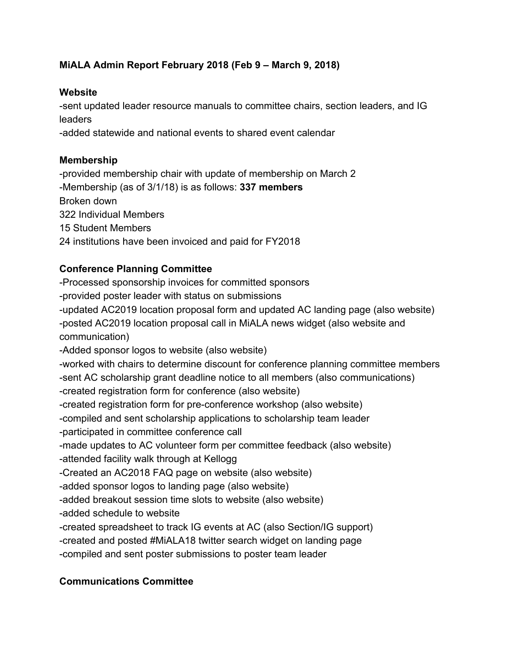## <span id="page-3-0"></span>**MiALA Admin Report February 2018 (Feb 9 – March 9, 2018)**

## **Website**

-sent updated leader resource manuals to committee chairs, section leaders, and IG leaders

-added statewide and national events to shared event calendar

## **Membership**

-provided membership chair with update of membership on March 2 -Membership (as of 3/1/18) is as follows: **337 members** Broken down 322 Individual Members 15 Student Members 24 institutions have been invoiced and paid for FY2018

# **Conference Planning Committee**

-Processed sponsorship invoices for committed sponsors -provided poster leader with status on submissions -updated AC2019 location proposal form and updated AC landing page (also website) -posted AC2019 location proposal call in MiALA news widget (also website and communication) -Added sponsor logos to website (also website) -worked with chairs to determine discount for conference planning committee members -sent AC scholarship grant deadline notice to all members (also communications) -created registration form for conference (also website) -created registration form for pre-conference workshop (also website) -compiled and sent scholarship applications to scholarship team leader -participated in committee conference call -made updates to AC volunteer form per committee feedback (also website) -attended facility walk through at Kellogg -Created an AC2018 FAQ page on website (also website) -added sponsor logos to landing page (also website) -added breakout session time slots to website (also website) -added schedule to website -created spreadsheet to track IG events at AC (also Section/IG support) -created and posted #MiALA18 twitter search widget on landing page -compiled and sent poster submissions to poster team leader

# **Communications Committee**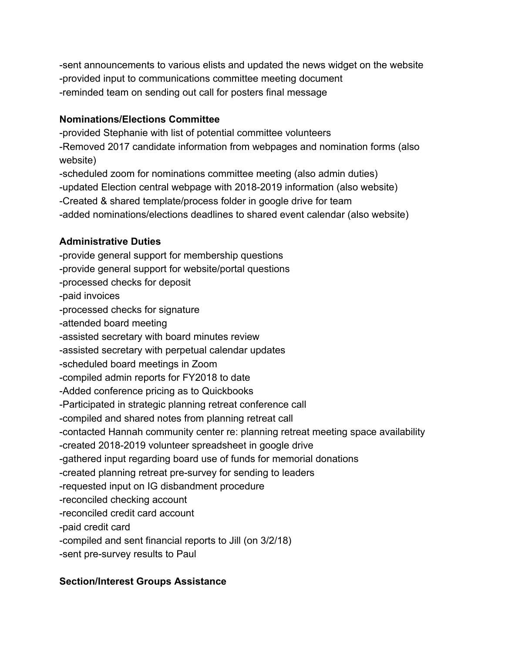-sent announcements to various elists and updated the news widget on the website -provided input to communications committee meeting document -reminded team on sending out call for posters final message

## **Nominations/Elections Committee**

-provided Stephanie with list of potential committee volunteers -Removed 2017 candidate information from webpages and nomination forms (also website) -scheduled zoom for nominations committee meeting (also admin duties) -updated Election central webpage with 2018-2019 information (also website) -Created & shared template/process folder in google drive for team -added nominations/elections deadlines to shared event calendar (also website)

# **Administrative Duties**

-provide general support for membership questions -provide general support for website/portal questions -processed checks for deposit -paid invoices -processed checks for signature -attended board meeting -assisted secretary with board minutes review -assisted secretary with perpetual calendar updates -scheduled board meetings in Zoom -compiled admin reports for FY2018 to date -Added conference pricing as to Quickbooks -Participated in strategic planning retreat conference call -compiled and shared notes from planning retreat call -contacted Hannah community center re: planning retreat meeting space availability -created 2018-2019 volunteer spreadsheet in google drive -gathered input regarding board use of funds for memorial donations -created planning retreat pre-survey for sending to leaders -requested input on IG disbandment procedure -reconciled checking account -reconciled credit card account -paid credit card -compiled and sent financial reports to Jill (on 3/2/18) -sent pre-survey results to Paul

# **Section/Interest Groups Assistance**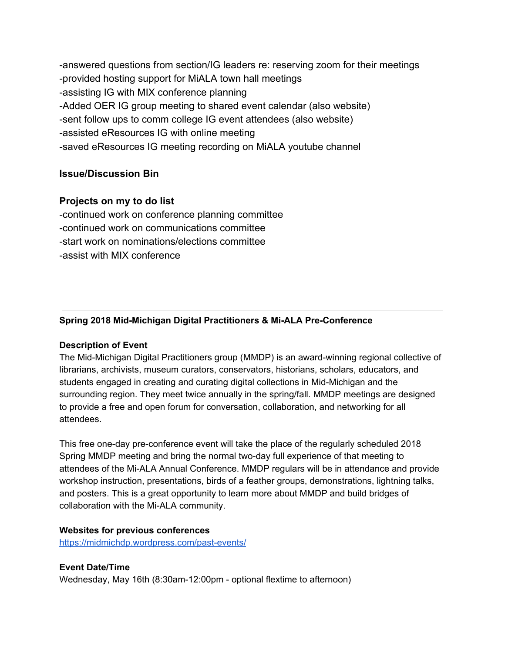-answered questions from section/IG leaders re: reserving zoom for their meetings -provided hosting support for MiALA town hall meetings -assisting IG with MIX conference planning -Added OER IG group meeting to shared event calendar (also website) -sent follow ups to comm college IG event attendees (also website) -assisted eResources IG with online meeting -saved eResources IG meeting recording on MiALA youtube channel

## **Issue/Discussion Bin**

## **Projects on my to do list**

-continued work on conference planning committee -continued work on communications committee -start work on nominations/elections committee -assist with MIX conference

## **Spring 2018 Mid-Michigan Digital Practitioners & Mi-ALA Pre-Conference**

#### **Description of Event**

The Mid-Michigan Digital Practitioners group (MMDP) is an award-winning regional collective of librarians, archivists, museum curators, conservators, historians, scholars, educators, and students engaged in creating and curating digital collections in Mid-Michigan and the surrounding region. They meet twice annually in the spring/fall. MMDP meetings are designed to provide a free and open forum for conversation, collaboration, and networking for all attendees.

This free one-day pre-conference event will take the place of the regularly scheduled 2018 Spring MMDP meeting and bring the normal two-day full experience of that meeting to attendees of the Mi-ALA Annual Conference. MMDP regulars will be in attendance and provide workshop instruction, presentations, birds of a feather groups, demonstrations, lightning talks, and posters. This is a great opportunity to learn more about MMDP and build bridges of collaboration with the Mi-ALA community.

#### **Websites for previous conferences**

<https://midmichdp.wordpress.com/past-events/>

## **Event Date/Time**

Wednesday, May 16th (8:30am-12:00pm - optional flextime to afternoon)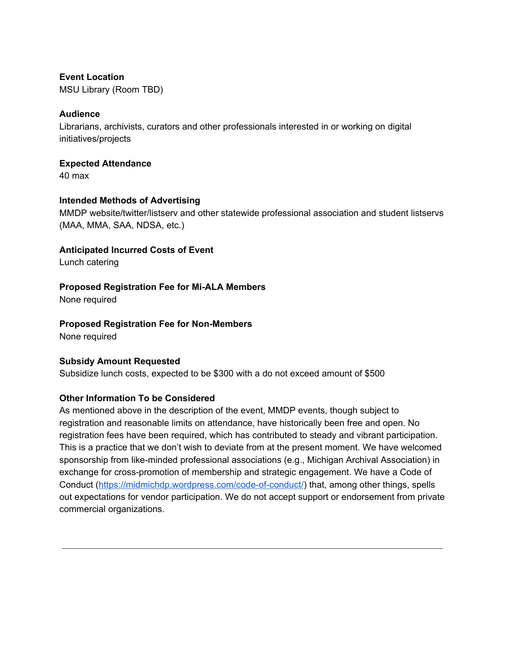#### **Event Location**

MSU Library (Room TBD)

## **Audience**

Librarians, archivists, curators and other professionals interested in or working on digital initiatives/projects

#### **Expected Attendance**

40 max

## **Intended Methods of Advertising**

MMDP website/twitter/listserv and other statewide professional association and student listservs (MAA, MMA, SAA, NDSA, etc.)

## **Anticipated Incurred Costs of Event**

Lunch catering

## **Proposed Registration Fee for Mi-ALA Members**

None required

## **Proposed Registration Fee for Non-Members**

None required

#### **Subsidy Amount Requested**

Subsidize lunch costs, expected to be \$300 with a do not exceed amount of \$500

#### **Other Information To be Considered**

As mentioned above in the description of the event, MMDP events, though subject to registration and reasonable limits on attendance, have historically been free and open. No registration fees have been required, which has contributed to steady and vibrant participation. This is a practice that we don't wish to deviate from at the present moment. We have welcomed sponsorship from like-minded professional associations (e.g., Michigan Archival Association) in exchange for cross-promotion of membership and strategic engagement. We have a Code of Conduct (<https://midmichdp.wordpress.com/code-of-conduct/>) that, among other things, spells out expectations for vendor participation. We do not accept support or endorsement from private commercial organizations.